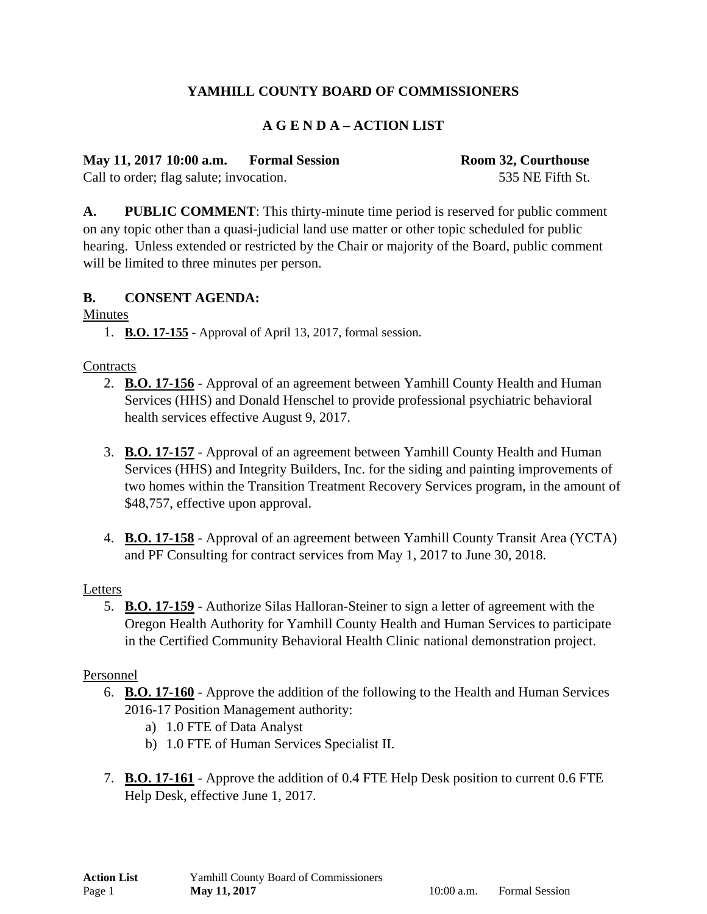# **YAMHILL COUNTY BOARD OF COMMISSIONERS**

## **A G E N D A – ACTION LIST**

**May 11, 2017 10:00 a.m. Formal Session Room 32, Courthouse** 

Call to order; flag salute; invocation. 535 NE Fifth St.

**A. PUBLIC COMMENT**: This thirty-minute time period is reserved for public comment on any topic other than a quasi-judicial land use matter or other topic scheduled for public hearing. Unless extended or restricted by the Chair or majority of the Board, public comment will be limited to three minutes per person.

## **B. CONSENT AGENDA:**

Minutes

1. **B.O. 17-155** - Approval of April 13, 2017, formal session.

## **Contracts**

- 2. **B.O. 17-156** Approval of an agreement between Yamhill County Health and Human Services (HHS) and Donald Henschel to provide professional psychiatric behavioral health services effective August 9, 2017.
- 3. **B.O. 17-157** Approval of an agreement between Yamhill County Health and Human Services (HHS) and Integrity Builders, Inc. for the siding and painting improvements of two homes within the Transition Treatment Recovery Services program, in the amount of \$48,757, effective upon approval.
- 4. **B.O. 17-158** Approval of an agreement between Yamhill County Transit Area (YCTA) and PF Consulting for contract services from May 1, 2017 to June 30, 2018.

## Letters

5. **B.O. 17-159** - Authorize Silas Halloran-Steiner to sign a letter of agreement with the Oregon Health Authority for Yamhill County Health and Human Services to participate in the Certified Community Behavioral Health Clinic national demonstration project.

## Personnel

- 6. **B.O. 17-160** Approve the addition of the following to the Health and Human Services 2016-17 Position Management authority:
	- a) 1.0 FTE of Data Analyst
	- b) 1.0 FTE of Human Services Specialist II.
- 7. **B.O. 17-161** Approve the addition of 0.4 FTE Help Desk position to current 0.6 FTE Help Desk, effective June 1, 2017.